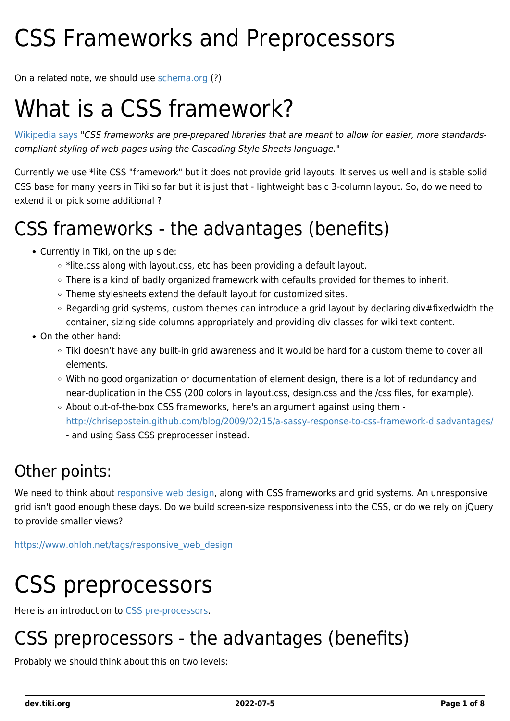# CSS Frameworks and Preprocessors

On a related note, we should use [schema.org](http://schema.org/) (?)

# What is a CSS framework?

[Wikipedia says](http://en.wikipedia.org/wiki/CSS_framework#CSS_frameworks) "CSS frameworks are pre-prepared libraries that are meant to allow for easier, more standardscompliant styling of web pages using the Cascading Style Sheets language."

Currently we use \*lite CSS "framework" but it does not provide grid layouts. It serves us well and is stable solid CSS base for many years in Tiki so far but it is just that - lightweight basic 3-column layout. So, do we need to extend it or pick some additional ?

## CSS frameworks - the advantages (benefits)

- Currently in Tiki, on the up side:
	- $\circ$  \*lite.css along with layout.css, etc has been providing a default layout.
	- There is a kind of badly organized framework with defaults provided for themes to inherit.
	- o Theme stylesheets extend the default layout for customized sites.
	- $\circ$  Regarding grid systems, custom themes can introduce a grid layout by declaring div#fixedwidth the container, sizing side columns appropriately and providing div classes for wiki text content.
- On the other hand:
	- Tiki doesn't have any built-in grid awareness and it would be hard for a custom theme to cover all elements.
	- With no good organization or documentation of element design, there is a lot of redundancy and near-duplication in the CSS (200 colors in layout.css, design.css and the /css files, for example).
	- About out-of-the-box CSS frameworks, here's an argument against using them <http://chriseppstein.github.com/blog/2009/02/15/a-sassy-response-to-css-framework-disadvantages/> - and using Sass CSS preprocesser instead.

#### Other points:

We need to think about [responsive web design](http://en.wikipedia.org/wiki/Responsive_Web_Design), along with CSS frameworks and grid systems. An unresponsive grid isn't good enough these days. Do we build screen-size responsiveness into the CSS, or do we rely on jQuery to provide smaller views?

[https://www.ohloh.net/tags/responsive\\_web\\_design](https://www.ohloh.net/tags/responsive_web_design)

# CSS preprocessors

Here is an introduction to [CSS pre-processors.](http://www.vanseodesign.com/css/css-preprocessors/)

### CSS preprocessors - the advantages (benefits)

Probably we should think about this on two levels: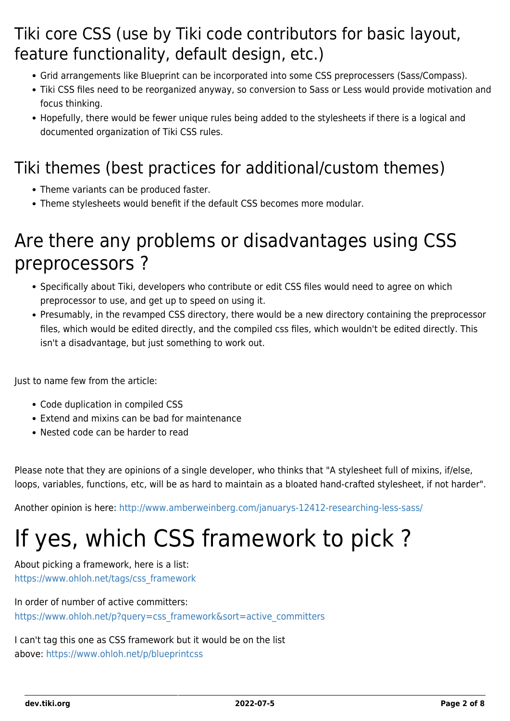### Tiki core CSS (use by Tiki code contributors for basic layout, feature functionality, default design, etc.)

- Grid arrangements like Blueprint can be incorporated into some CSS preprocessers (Sass/Compass).
- Tiki CSS files need to be reorganized anyway, so conversion to Sass or Less would provide motivation and focus thinking.
- Hopefully, there would be fewer unique rules being added to the stylesheets if there is a logical and documented organization of Tiki CSS rules.

### Tiki themes (best practices for additional/custom themes)

- Theme variants can be produced faster.
- Theme stylesheets would benefit if the default CSS becomes more modular.

### Are there any problems or disadvantages using CSS preprocessors ?

- Specifically about Tiki, developers who contribute or edit CSS files would need to agree on which preprocessor to use, and get up to speed on using it.
- Presumably, in the revamped CSS directory, there would be a new directory containing the preprocessor files, which would be edited directly, and the compiled css files, which wouldn't be edited directly. This isn't a disadvantage, but just something to work out.

Just to name few from the article:

- Code duplication in compiled CSS
- Extend and mixins can be bad for maintenance
- Nested code can be harder to read

Please note that they are opinions of a single developer, who thinks that "A stylesheet full of mixins, if/else, loops, variables, functions, etc, will be as hard to maintain as a bloated hand-crafted stylesheet, if not harder".

Another opinion is here:<http://www.amberweinberg.com/januarys-12412-researching-less-sass/>

# If yes, which CSS framework to pick ?

About picking a framework, here is a list: [https://www.ohloh.net/tags/css\\_framework](https://www.ohloh.net/tags/css_framework)

In order of number of active committers: [https://www.ohloh.net/p?query=css\\_framework&sort=active\\_committers](https://www.ohloh.net/p?query=css_framework&sort=active_committers)

I can't tag this one as CSS framework but it would be on the list above: <https://www.ohloh.net/p/blueprintcss>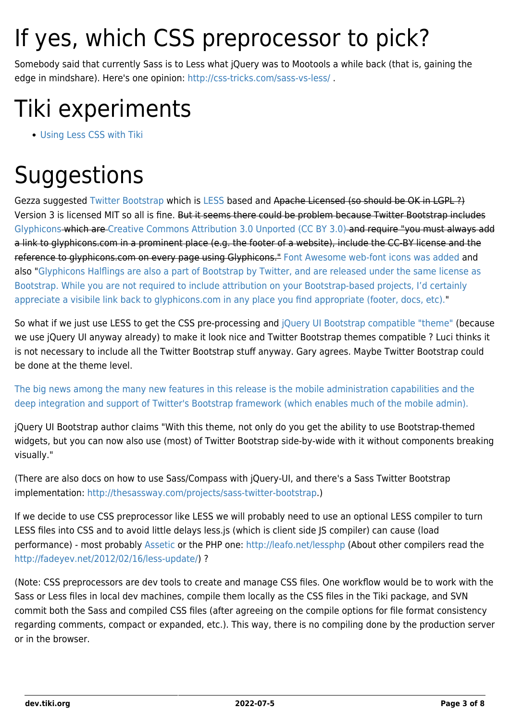# If yes, which CSS preprocessor to pick?

Somebody said that currently Sass is to Less what jQuery was to Mootools a while back (that is, gaining the edge in mindshare). Here's one opinion:<http://css-tricks.com/sass-vs-less/>.

# Tiki experiments

[Using Less CSS with Tiki](https://dev.tiki.org/Using-Less-CSS-with-Tiki)

# **Suggestions**

Gezza suggested [Twitter Bootstrap](http://twitter.github.com/bootstrap/index.html) which is [LESS](http://lesscss.org/) based and Apache Licensed (so should be OK in LGPL ?) Version 3 is licensed MIT so all is fine. But it seems there could be problem because Twitter Bootstrap includes [Glyphicons](http://glyphicons.com/) which are [Creative Commons Attribution 3.0 Unported \(CC BY 3.0\)](http://glyphicons.com/glyphicons-licenses/) and require "you must always add a link to glyphicons.com in a prominent place (e.g. the footer of a website), include the CC-BY license and the reference to glyphicons.com on every page using Glyphicons." [Font Awesome web-font icons was added](https://github.com/twitter/bootstrap/pull/3789) and also "[Glyphicons Halflings are also a part of Bootstrap by Twitter, and are released under the same license as](http://glyphicons.com/glyphicons-licenses/) [Bootstrap. While you are not required to include attribution on your Bootstrap-based projects, I'd certainly](http://glyphicons.com/glyphicons-licenses/) [appreciate a visibile link back to glyphicons.com in any place you find appropriate \(footer, docs, etc\)."](http://glyphicons.com/glyphicons-licenses/)

So what if we just use LESS to get the CSS pre-processing and [jQuery UI Bootstrap compatible "theme"](http://addyosmani.github.com/jquery-ui-bootstrap/) (because we use jQuery UI anyway already) to make it look nice and Twitter Bootstrap themes compatible ? Luci thinks it is not necessary to include all the Twitter Bootstrap stuff anyway. Gary agrees. Maybe Twitter Bootstrap could be done at the theme level.

[The big news among the many new features in this release is the mobile administration capabilities and the](http://www.networkworld.com/community/node/81516) [deep integration and support of Twitter's Bootstrap framework \(which enables much of the mobile admin\).](http://www.networkworld.com/community/node/81516)

jQuery UI Bootstrap author claims "With this theme, not only do you get the ability to use Bootstrap-themed widgets, but you can now also use (most) of Twitter Bootstrap side-by-wide with it without components breaking visually."

(There are also docs on how to use Sass/Compass with jQuery-UI, and there's a Sass Twitter Bootstrap implementation: [http://thesassway.com/projects/sass-twitter-bootstrap.](http://thesassway.com/projects/sass-twitter-bootstrap))

If we decide to use CSS preprocessor like LESS we will probably need to use an optional LESS compiler to turn LESS files into CSS and to avoid little delays less.js (which is client side JS compiler) can cause (load performance) - most probably [Assetic](https://github.com/kriswallsmith/assetic) or the PHP one:<http://leafo.net/lessphp>(About other compilers read the <http://fadeyev.net/2012/02/16/less-update/>) ?

(Note: CSS preprocessors are dev tools to create and manage CSS files. One workflow would be to work with the Sass or Less files in local dev machines, compile them locally as the CSS files in the Tiki package, and SVN commit both the Sass and compiled CSS files (after agreeing on the compile options for file format consistency regarding comments, compact or expanded, etc.). This way, there is no compiling done by the production server or in the browser.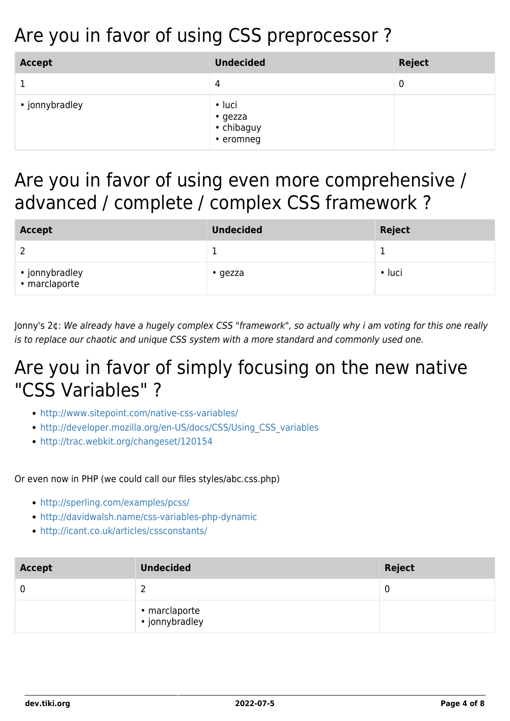## Are you in favor of using CSS preprocessor ?

| <b>Accept</b>  | <b>Undecided</b>                                   | Reject |
|----------------|----------------------------------------------------|--------|
|                | 4                                                  | 0      |
| • jonnybradley | $\cdot$ luci<br>• gezza<br>• chibaguy<br>• eromneg |        |

### Are you in favor of using even more comprehensive / advanced / complete / complex CSS framework ?

| <b>Accept</b>                   | <b>Undecided</b> | <b>Reject</b> |
|---------------------------------|------------------|---------------|
|                                 |                  |               |
| • jonnybradley<br>• marclaporte | $\cdot$ gezza    | $\cdot$ luci  |

Jonny's 2¢: We already have a hugely complex CSS "framework", so actually why i am voting for this one really is to replace our chaotic and unique CSS system with a more standard and commonly used one.

### Are you in favor of simply focusing on the new native "CSS Variables" ?

- <http://www.sitepoint.com/native-css-variables/>
- [http://developer.mozilla.org/en-US/docs/CSS/Using\\_CSS\\_variables](http://developer.mozilla.org/en-US/docs/CSS/Using_CSS_variables)
- <http://trac.webkit.org/changeset/120154>

#### Or even now in PHP (we could call our files styles/abc.css.php)

- <http://sperling.com/examples/pcss/>
- <http://davidwalsh.name/css-variables-php-dynamic>
- <http://icant.co.uk/articles/cssconstants/>

| <b>Accept</b> | <b>Undecided</b>                | <b>Reject</b> |
|---------------|---------------------------------|---------------|
| $\mathbf 0$   |                                 | 0             |
|               | • marclaporte<br>• jonnybradley |               |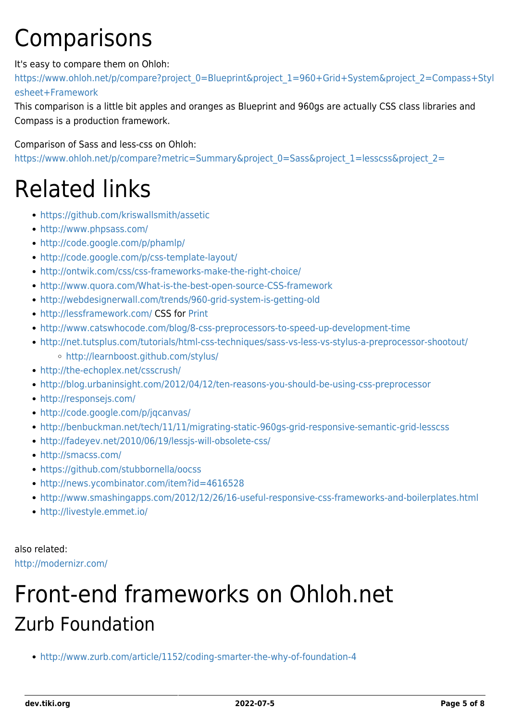# **Comparisons**

#### It's easy to compare them on Ohloh:

[https://www.ohloh.net/p/compare?project\\_0=Blueprint&project\\_1=960+Grid+System&project\\_2=Compass+Styl](https://www.ohloh.net/p/compare?project_0=Blueprint&project_1=960+Grid+System&project_2=Compass+Stylesheet+Framework) [esheet+Framework](https://www.ohloh.net/p/compare?project_0=Blueprint&project_1=960+Grid+System&project_2=Compass+Stylesheet+Framework)

This comparison is a little bit apples and oranges as Blueprint and 960gs are actually CSS class libraries and Compass is a production framework.

Comparison of Sass and less-css on Ohloh:

[https://www.ohloh.net/p/compare?metric=Summary&project\\_0=Sass&project\\_1=lesscss&project\\_2=](https://www.ohloh.net/p/compare?metric=Summary&project_0=Sass&project_1=lesscss&project_2=)

# Related links

- <https://github.com/kriswallsmith/assetic>
- <http://www.phpsass.com/>
- <http://code.google.com/p/phamlp/>
- <http://code.google.com/p/css-template-layout/>
- <http://ontwik.com/css/css-frameworks-make-the-right-choice/>
- <http://www.quora.com/What-is-the-best-open-source-CSS-framework>
- <http://webdesignerwall.com/trends/960-grid-system-is-getting-old>
- <http://lessframework.com/> CSS for [Print](https://dev.tiki.org/Print)
- <http://www.catswhocode.com/blog/8-css-preprocessors-to-speed-up-development-time>
- <http://net.tutsplus.com/tutorials/html-css-techniques/sass-vs-less-vs-stylus-a-preprocessor-shootout/>
	- <http://learnboost.github.com/stylus/>
- <http://the-echoplex.net/csscrush/>
- <http://blog.urbaninsight.com/2012/04/12/ten-reasons-you-should-be-using-css-preprocessor>
- <http://responsejs.com/>
- <http://code.google.com/p/jqcanvas/>
- <http://benbuckman.net/tech/11/11/migrating-static-960gs-grid-responsive-semantic-grid-lesscss>
- <http://fadeyev.net/2010/06/19/lessjs-will-obsolete-css/>
- <http://smacss.com/>
- <https://github.com/stubbornella/oocss>
- <http://news.ycombinator.com/item?id=4616528>
- <http://www.smashingapps.com/2012/12/26/16-useful-responsive-css-frameworks-and-boilerplates.html>
- <http://livestyle.emmet.io/>

also related: <http://modernizr.com/>

# Front-end frameworks on Ohloh.net Zurb Foundation

<http://www.zurb.com/article/1152/coding-smarter-the-why-of-foundation-4>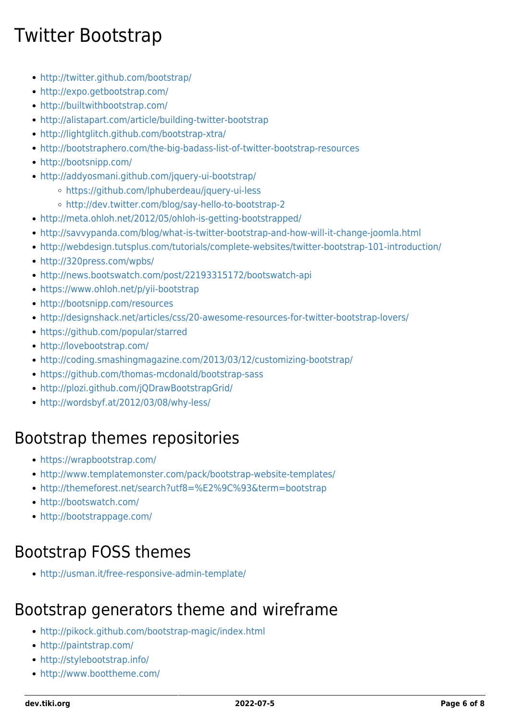## Twitter Bootstrap

- <http://twitter.github.com/bootstrap/>
- <http://expo.getbootstrap.com/>
- <http://builtwithbootstrap.com/>
- <http://alistapart.com/article/building-twitter-bootstrap>
- <http://lightglitch.github.com/bootstrap-xtra/>
- <http://bootstraphero.com/the-big-badass-list-of-twitter-bootstrap-resources>
- <http://bootsnipp.com/>
- <http://addyosmani.github.com/jquery-ui-bootstrap/>
	- <https://github.com/lphuberdeau/jquery-ui-less>
	- <http://dev.twitter.com/blog/say-hello-to-bootstrap-2>
- <http://meta.ohloh.net/2012/05/ohloh-is-getting-bootstrapped/>
- <http://savvypanda.com/blog/what-is-twitter-bootstrap-and-how-will-it-change-joomla.html>
- <http://webdesign.tutsplus.com/tutorials/complete-websites/twitter-bootstrap-101-introduction/>
- <http://320press.com/wpbs/>
- <http://news.bootswatch.com/post/22193315172/bootswatch-api>
- <https://www.ohloh.net/p/yii-bootstrap>
- <http://bootsnipp.com/resources>
- <http://designshack.net/articles/css/20-awesome-resources-for-twitter-bootstrap-lovers/>
- <https://github.com/popular/starred>
- <http://lovebootstrap.com/>
- <http://coding.smashingmagazine.com/2013/03/12/customizing-bootstrap/>
- <https://github.com/thomas-mcdonald/bootstrap-sass>
- <http://plozi.github.com/jQDrawBootstrapGrid/>
- <http://wordsbyf.at/2012/03/08/why-less/>

#### Bootstrap themes repositories

- <https://wrapbootstrap.com/>
- <http://www.templatemonster.com/pack/bootstrap-website-templates/>
- <http://themeforest.net/search?utf8=%E2%9C%93&term=bootstrap>
- <http://bootswatch.com/>
- <http://bootstrappage.com/>

#### Bootstrap FOSS themes

<http://usman.it/free-responsive-admin-template/>

#### Bootstrap generators theme and wireframe

- <http://pikock.github.com/bootstrap-magic/index.html>
- <http://paintstrap.com/>
- <http://stylebootstrap.info/>
- <http://www.boottheme.com/>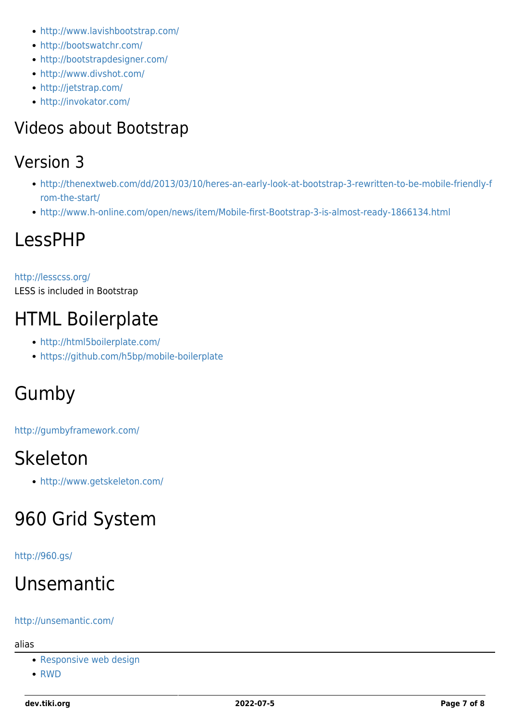- <http://www.lavishbootstrap.com/>
- <http://bootswatchr.com/>
- <http://bootstrapdesigner.com/>
- <http://www.divshot.com/>
- <http://jetstrap.com/>
- <http://invokator.com/>

### Videos about Bootstrap

#### Version 3

- [http://thenextweb.com/dd/2013/03/10/heres-an-early-look-at-bootstrap-3-rewritten-to-be-mobile-friendly-f](http://thenextweb.com/dd/2013/03/10/heres-an-early-look-at-bootstrap-3-rewritten-to-be-mobile-friendly-from-the-start/) [rom-the-start/](http://thenextweb.com/dd/2013/03/10/heres-an-early-look-at-bootstrap-3-rewritten-to-be-mobile-friendly-from-the-start/)
- <http://www.h-online.com/open/news/item/Mobile-first-Bootstrap-3-is-almost-ready-1866134.html>

### LessPHP

#### <http://lesscss.org/> LESS is included in Bootstrap

### HTML Boilerplate

- <http://html5boilerplate.com/>
- <https://github.com/h5bp/mobile-boilerplate>

## Gumby

<http://gumbyframework.com/>

### Skeleton

<http://www.getskeleton.com/>

## 960 Grid System

#### <http://960.gs/>

## Unsemantic

#### <http://unsemantic.com/>

alias

- [Responsive web design](https://dev.tiki.org/Responsive-web-design)
- [RWD](https://dev.tiki.org/RWD)